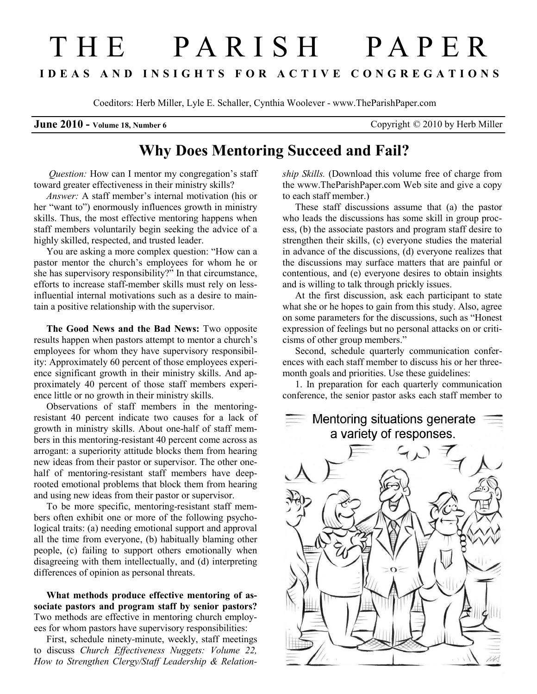## T H E P A R I S H P A P E R I D E A S A N D I N S I G H T S F O R A C T I V E C O N G R E G A T I O N S

Coeditors: Herb Miller, Lyle E. Schaller, Cynthia Woolever - www.TheParishPaper.com

**June 2010 - Volume 18, Number 6** Copyright  $\odot$  2010 by Herb Miller

## Why Does Mentoring Succeed and Fail?

Question: How can I mentor my congregation's staff toward greater effectiveness in their ministry skills?

Answer: A staff member's internal motivation (his or her "want to") enormously influences growth in ministry skills. Thus, the most effective mentoring happens when staff members voluntarily begin seeking the advice of a highly skilled, respected, and trusted leader.

You are asking a more complex question: "How can a pastor mentor the church's employees for whom he or she has supervisory responsibility?" In that circumstance, efforts to increase staff-member skills must rely on lessinfluential internal motivations such as a desire to maintain a positive relationship with the supervisor.

The Good News and the Bad News: Two opposite results happen when pastors attempt to mentor a church's employees for whom they have supervisory responsibility: Approximately 60 percent of those employees experience significant growth in their ministry skills. And approximately 40 percent of those staff members experience little or no growth in their ministry skills.

Observations of staff members in the mentoringresistant 40 percent indicate two causes for a lack of growth in ministry skills. About one-half of staff members in this mentoring-resistant 40 percent come across as arrogant: a superiority attitude blocks them from hearing new ideas from their pastor or supervisor. The other onehalf of mentoring-resistant staff members have deeprooted emotional problems that block them from hearing and using new ideas from their pastor or supervisor.

To be more specific, mentoring-resistant staff members often exhibit one or more of the following psychological traits: (a) needing emotional support and approval all the time from everyone, (b) habitually blaming other people, (c) failing to support others emotionally when disagreeing with them intellectually, and (d) interpreting differences of opinion as personal threats.

What methods produce effective mentoring of associate pastors and program staff by senior pastors? Two methods are effective in mentoring church employees for whom pastors have supervisory responsibilities:

First, schedule ninety-minute, weekly, staff meetings to discuss Church Effectiveness Nuggets: Volume 22, How to Strengthen Clergy/Staff Leadership & Relationship Skills. (Download this volume free of charge from the www.TheParishPaper.com Web site and give a copy to each staff member.)

These staff discussions assume that (a) the pastor who leads the discussions has some skill in group process, (b) the associate pastors and program staff desire to strengthen their skills, (c) everyone studies the material in advance of the discussions, (d) everyone realizes that the discussions may surface matters that are painful or contentious, and (e) everyone desires to obtain insights and is willing to talk through prickly issues.

At the first discussion, ask each participant to state what she or he hopes to gain from this study. Also, agree on some parameters for the discussions, such as "Honest expression of feelings but no personal attacks on or criticisms of other group members."

Second, schedule quarterly communication conferences with each staff member to discuss his or her threemonth goals and priorities. Use these guidelines:

1. In preparation for each quarterly communication conference, the senior pastor asks each staff member to